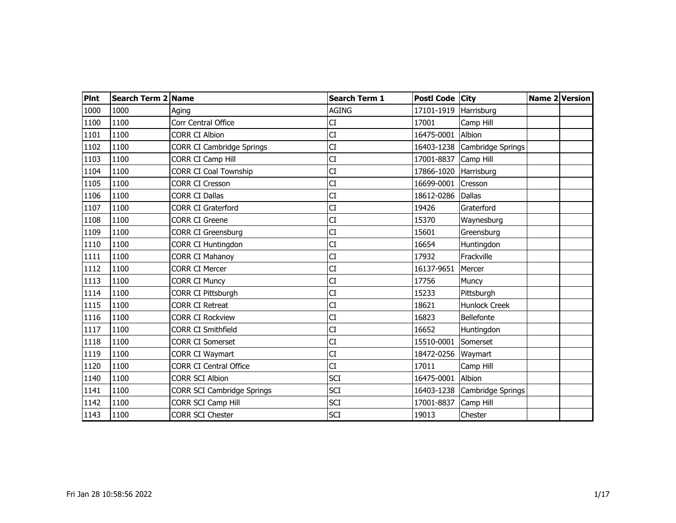| <b>PInt</b> | Search Term 2 Name |                                   | <b>Search Term 1</b> | Postl Code City |                      | Name 2 Version |  |
|-------------|--------------------|-----------------------------------|----------------------|-----------------|----------------------|----------------|--|
| 1000        | 1000               | Aging                             | <b>AGING</b>         | 17101-1919      | Harrisburg           |                |  |
| 1100        | 1100               | Corr Central Office               | CI                   | 17001           | Camp Hill            |                |  |
| 1101        | 1100               | <b>CORR CI Albion</b>             | CI                   | 16475-0001      | Albion               |                |  |
| 1102        | 1100               | <b>CORR CI Cambridge Springs</b>  | CI                   | 16403-1238      | Cambridge Springs    |                |  |
| 1103        | 1100               | CORR CI Camp Hill                 | CI                   | 17001-8837      | Camp Hill            |                |  |
| 1104        | 1100               | <b>CORR CI Coal Township</b>      | CI                   | 17866-1020      | Harrisburg           |                |  |
| 1105        | 1100               | <b>CORR CI Cresson</b>            | CI                   | 16699-0001      | Cresson              |                |  |
| 1106        | 1100               | <b>CORR CI Dallas</b>             | CI                   | 18612-0286      | Dallas               |                |  |
| 1107        | 1100               | <b>CORR CI Graterford</b>         | CI                   | 19426           | Graterford           |                |  |
| 1108        | 1100               | <b>CORR CI Greene</b>             | CI                   | 15370           | Waynesburg           |                |  |
| 1109        | 1100               | <b>CORR CI Greensburg</b>         | CI                   | 15601           | Greensburg           |                |  |
| 1110        | 1100               | CORR CI Huntingdon                | CI                   | 16654           | Huntingdon           |                |  |
| 1111        | 1100               | <b>CORR CI Mahanoy</b>            | CI                   | 17932           | Frackville           |                |  |
| 1112        | 1100               | <b>CORR CI Mercer</b>             | <b>CI</b>            | 16137-9651      | Mercer               |                |  |
| 1113        | 1100               | <b>CORR CI Muncy</b>              | CI                   | 17756           | Muncy                |                |  |
| 1114        | 1100               | CORR CI Pittsburgh                | CI                   | 15233           | Pittsburgh           |                |  |
| 1115        | 1100               | <b>CORR CI Retreat</b>            | СI                   | 18621           | <b>Hunlock Creek</b> |                |  |
| 1116        | 1100               | <b>CORR CI Rockview</b>           | CI                   | 16823           | Bellefonte           |                |  |
| 1117        | 1100               | <b>CORR CI Smithfield</b>         | CI                   | 16652           | Huntingdon           |                |  |
| 1118        | 1100               | <b>CORR CI Somerset</b>           | CI                   | 15510-0001      | Somerset             |                |  |
| 1119        | 1100               | <b>CORR CI Waymart</b>            | CI                   | 18472-0256      | Waymart              |                |  |
| 1120        | 1100               | <b>CORR CI Central Office</b>     | <b>CI</b>            | 17011           | Camp Hill            |                |  |
| 1140        | 1100               | <b>CORR SCI Albion</b>            | <b>SCI</b>           | 16475-0001      | Albion               |                |  |
| 1141        | 1100               | <b>CORR SCI Cambridge Springs</b> | <b>SCI</b>           | 16403-1238      | Cambridge Springs    |                |  |
| 1142        | 1100               | CORR SCI Camp Hill                | <b>SCI</b>           | 17001-8837      | Camp Hill            |                |  |
| 1143        | 1100               | <b>CORR SCI Chester</b>           | <b>SCI</b>           | 19013           | Chester              |                |  |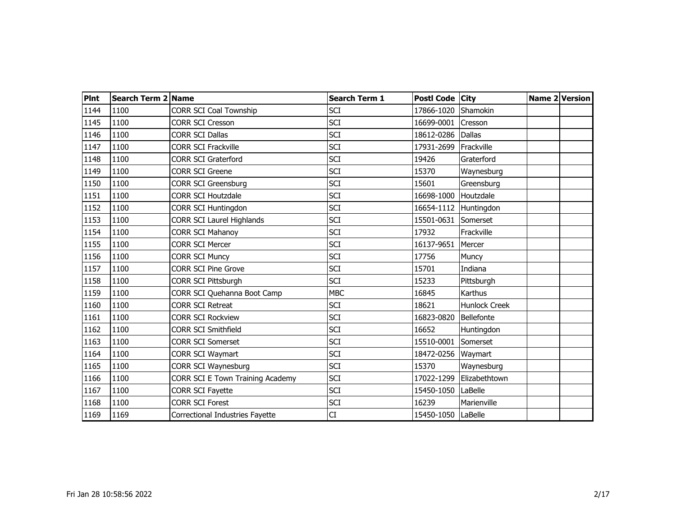| <b>Pint</b> | Search Term 2 Name |                                  | <b>Search Term 1</b> | Postl Code City    |                      | Name 2 Version |  |
|-------------|--------------------|----------------------------------|----------------------|--------------------|----------------------|----------------|--|
| 1144        | 1100               | <b>CORR SCI Coal Township</b>    | <b>SCI</b>           | 17866-1020         | Shamokin             |                |  |
| 1145        | 1100               | <b>CORR SCI Cresson</b>          | <b>SCI</b>           | 16699-0001         | Cresson              |                |  |
| 1146        | 1100               | <b>CORR SCI Dallas</b>           | <b>SCI</b>           | 18612-0286         | <b>Dallas</b>        |                |  |
| 1147        | 1100               | <b>CORR SCI Frackville</b>       | <b>SCI</b>           | 17931-2699         | Frackville           |                |  |
| 1148        | 1100               | <b>CORR SCI Graterford</b>       | <b>SCI</b>           | 19426              | Graterford           |                |  |
| 1149        | 1100               | <b>CORR SCI Greene</b>           | <b>SCI</b>           | 15370              | Waynesburg           |                |  |
| 1150        | 1100               | <b>CORR SCI Greensburg</b>       | <b>SCI</b>           | 15601              | Greensburg           |                |  |
| 1151        | 1100               | <b>CORR SCI Houtzdale</b>        | <b>SCI</b>           | 16698-1000         | Houtzdale            |                |  |
| 1152        | 1100               | <b>CORR SCI Huntingdon</b>       | <b>SCI</b>           | 16654-1112         | Huntingdon           |                |  |
| 1153        | 1100               | CORR SCI Laurel Highlands        | <b>SCI</b>           | 15501-0631         | Somerset             |                |  |
| 1154        | 1100               | <b>CORR SCI Mahanoy</b>          | <b>SCI</b>           | 17932              | Frackville           |                |  |
| 1155        | 1100               | <b>CORR SCI Mercer</b>           | SCI                  | 16137-9651         | Mercer               |                |  |
| 1156        | 1100               | <b>CORR SCI Muncy</b>            | <b>SCI</b>           | 17756              | Muncy                |                |  |
| 1157        | 1100               | <b>CORR SCI Pine Grove</b>       | <b>SCI</b>           | 15701              | Indiana              |                |  |
| 1158        | 1100               | CORR SCI Pittsburgh              | <b>SCI</b>           | 15233              | Pittsburgh           |                |  |
| 1159        | 1100               | CORR SCI Quehanna Boot Camp      | <b>MBC</b>           | 16845              | Karthus              |                |  |
| 1160        | 1100               | <b>CORR SCI Retreat</b>          | <b>SCI</b>           | 18621              | <b>Hunlock Creek</b> |                |  |
| 1161        | 1100               | <b>CORR SCI Rockview</b>         | <b>SCI</b>           | 16823-0820         | Bellefonte           |                |  |
| 1162        | 1100               | <b>CORR SCI Smithfield</b>       | SCI                  | 16652              | Huntingdon           |                |  |
| 1163        | 1100               | <b>CORR SCI Somerset</b>         | <b>SCI</b>           | 15510-0001         | Somerset             |                |  |
| 1164        | 1100               | <b>CORR SCI Waymart</b>          | SCI                  | 18472-0256         | Waymart              |                |  |
| 1165        | 1100               | <b>CORR SCI Waynesburg</b>       | SCI                  | 15370              | Waynesburg           |                |  |
| 1166        | 1100               | CORR SCI E Town Training Academy | <b>SCI</b>           | 17022-1299         | Elizabethtown        |                |  |
| 1167        | 1100               | <b>CORR SCI Fayette</b>          | <b>SCI</b>           | 15450-1050         | LaBelle              |                |  |
| 1168        | 1100               | <b>CORR SCI Forest</b>           | SCI                  | 16239              | Marienville          |                |  |
| 1169        | 1169               | Correctional Industries Fayette  | CI                   | 15450-1050 LaBelle |                      |                |  |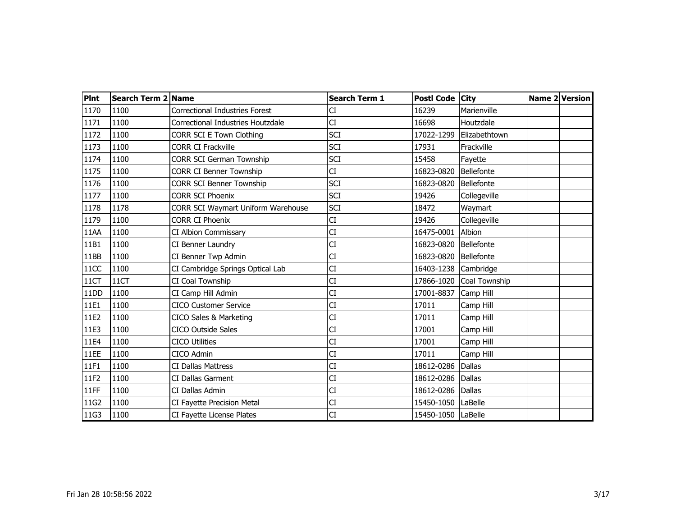| <b>PInt</b> | Search Term 2 Name |                                       | <b>Search Term 1</b> | Postl Code City    |               | Name 2 Version |
|-------------|--------------------|---------------------------------------|----------------------|--------------------|---------------|----------------|
| 1170        | 1100               | <b>Correctional Industries Forest</b> | CI                   | 16239              | Marienville   |                |
| 1171        | 1100               | Correctional Industries Houtzdale     | СI                   | 16698              | Houtzdale     |                |
| 1172        | 1100               | CORR SCI E Town Clothing              | <b>SCI</b>           | 17022-1299         | Elizabethtown |                |
| 1173        | 1100               | <b>CORR CI Frackville</b>             | <b>SCI</b>           | 17931              | Frackville    |                |
| 1174        | 1100               | <b>CORR SCI German Township</b>       | <b>SCI</b>           | 15458              | Fayette       |                |
| 1175        | 1100               | <b>CORR CI Benner Township</b>        | CI                   | 16823-0820         | Bellefonte    |                |
| 1176        | 1100               | <b>CORR SCI Benner Township</b>       | <b>SCI</b>           | 16823-0820         | Bellefonte    |                |
| 1177        | 1100               | <b>CORR SCI Phoenix</b>               | <b>SCI</b>           | 19426              | Collegeville  |                |
| 1178        | 1178               | CORR SCI Waymart Uniform Warehouse    | <b>SCI</b>           | 18472              | Waymart       |                |
| 1179        | 1100               | <b>CORR CI Phoenix</b>                | CI                   | 19426              | Collegeville  |                |
| 11AA        | 1100               | CI Albion Commissary                  | CI                   | 16475-0001         | Albion        |                |
| 11B1        | 1100               | CI Benner Laundry                     | CI                   | 16823-0820         | Bellefonte    |                |
| 11BB        | 1100               | CI Benner Twp Admin                   | CI                   | 16823-0820         | Bellefonte    |                |
| 11CC        | 1100               | CI Cambridge Springs Optical Lab      | <b>CI</b>            | 16403-1238         | Cambridge     |                |
| 11CT        | 11CT               | CI Coal Township                      | CI                   | 17866-1020         | Coal Township |                |
| 11DD        | 1100               | CI Camp Hill Admin                    | CI                   | 17001-8837         | Camp Hill     |                |
| 11E1        | 1100               | <b>CICO Customer Service</b>          | CI                   | 17011              | Camp Hill     |                |
| 11E2        | 1100               | CICO Sales & Marketing                | CI                   | 17011              | Camp Hill     |                |
| 11E3        | 1100               | <b>CICO Outside Sales</b>             | CI                   | 17001              | Camp Hill     |                |
| 11E4        | 1100               | <b>CICO Utilities</b>                 | CI                   | 17001              | Camp Hill     |                |
| 11EE        | 1100               | CICO Admin                            | CI                   | 17011              | Camp Hill     |                |
| 11F1        | 1100               | <b>CI Dallas Mattress</b>             | CI                   | 18612-0286         | <b>Dallas</b> |                |
| 11F2        | 1100               | CI Dallas Garment                     | CI                   | 18612-0286         | <b>Dallas</b> |                |
| 11FF        | 1100               | CI Dallas Admin                       | CI                   | 18612-0286         | <b>Dallas</b> |                |
| 11G2        | 1100               | CI Fayette Precision Metal            | CI                   | 15450-1050         | LaBelle       |                |
| 11G3        | 1100               | CI Fayette License Plates             | CI                   | 15450-1050 LaBelle |               |                |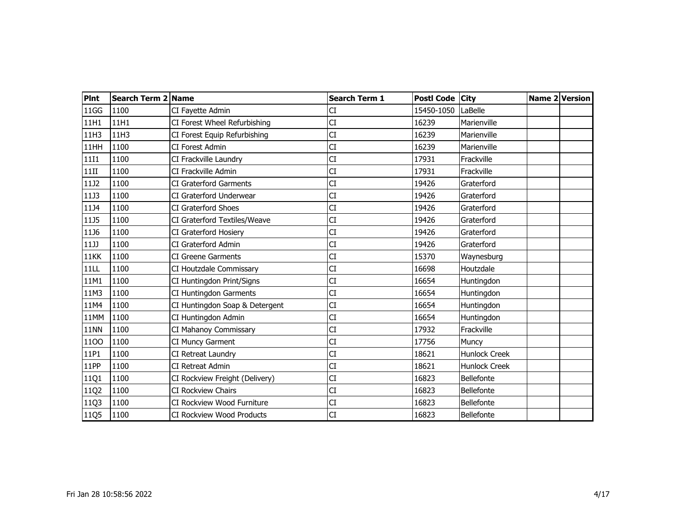| <b>PInt</b> | Search Term 2 Name |                                  | <b>Search Term 1</b> | Postl Code City |                      | Name 2 Version |
|-------------|--------------------|----------------------------------|----------------------|-----------------|----------------------|----------------|
| 11GG        | 1100               | CI Fayette Admin                 | CI                   | 15450-1050      | LaBelle              |                |
| 11H1        | 11H1               | CI Forest Wheel Refurbishing     | <b>CI</b>            | 16239           | Marienville          |                |
| 11H3        | 11H3               | CI Forest Equip Refurbishing     | CI                   | 16239           | Marienville          |                |
| 11HH        | 1100               | CI Forest Admin                  | CI                   | 16239           | Marienville          |                |
| <b>11I1</b> | 1100               | CI Frackville Laundry            | CI                   | 17931           | Frackville           |                |
| 11II        | 1100               | CI Frackville Admin              | CI                   | 17931           | Frackville           |                |
| 11J2        | 1100               | CI Graterford Garments           | CI                   | 19426           | Graterford           |                |
| 11J3        | 1100               | CI Graterford Underwear          | CI                   | 19426           | Graterford           |                |
| 11J4        | 1100               | CI Graterford Shoes              | CI                   | 19426           | Graterford           |                |
| 11J5        | 1100               | CI Graterford Textiles/Weave     | CI                   | 19426           | Graterford           |                |
| 11J6        | 1100               | CI Graterford Hosiery            | CI                   | 19426           | Graterford           |                |
| 11JJ        | 1100               | CI Graterford Admin              | CI                   | 19426           | Graterford           |                |
| 11KK        | 1100               | <b>CI Greene Garments</b>        | CI                   | 15370           | Waynesburg           |                |
| 11LL        | 1100               | CI Houtzdale Commissary          | <b>CI</b>            | 16698           | Houtzdale            |                |
| 11M1        | 1100               | CI Huntingdon Print/Signs        | CI                   | 16654           | Huntingdon           |                |
| 11M3        | 1100               | CI Huntingdon Garments           | CI                   | 16654           | Huntingdon           |                |
| 11M4        | 1100               | CI Huntingdon Soap & Detergent   | СI                   | 16654           | Huntingdon           |                |
| 11MM        | 1100               | CI Huntingdon Admin              | CI                   | 16654           | Huntingdon           |                |
| <b>11NN</b> | 1100               | CI Mahanoy Commissary            | CI                   | 17932           | Frackville           |                |
| 1100        | 1100               | CI Muncy Garment                 | CI                   | 17756           | Muncy                |                |
| 11P1        | 1100               | CI Retreat Laundry               | CI                   | 18621           | <b>Hunlock Creek</b> |                |
| 11PP        | 1100               | <b>CI Retreat Admin</b>          | СI                   | 18621           | <b>Hunlock Creek</b> |                |
| 11Q1        | 1100               | CI Rockview Freight (Delivery)   | CI                   | 16823           | Bellefonte           |                |
| 11Q2        | 1100               | CI Rockview Chairs               | CI                   | 16823           | Bellefonte           |                |
| 11Q3        | 1100               | CI Rockview Wood Furniture       | СI                   | 16823           | Bellefonte           |                |
| 11Q5        | 1100               | <b>CI Rockview Wood Products</b> | CI                   | 16823           | Bellefonte           |                |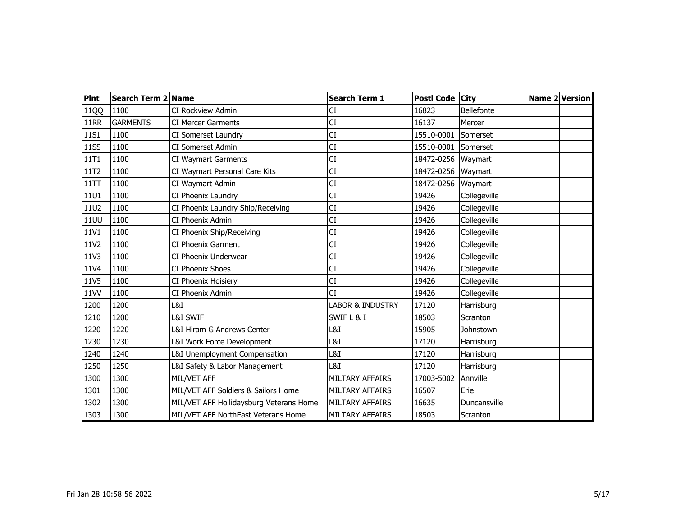| <b>PInt</b> | Search Term 2 Name |                                         | <b>Search Term 1</b>   | Postl Code City |              | Name 2 Version |  |
|-------------|--------------------|-----------------------------------------|------------------------|-----------------|--------------|----------------|--|
| 11QQ        | 1100               | <b>CI Rockview Admin</b>                | CI                     | 16823           | Bellefonte   |                |  |
| <b>11RR</b> | <b>GARMENTS</b>    | <b>CI Mercer Garments</b>               | <b>CI</b>              | 16137           | Mercer       |                |  |
| 11S1        | 1100               | CI Somerset Laundry                     | CI                     | 15510-0001      | Somerset     |                |  |
| <b>11SS</b> | 1100               | <b>CI Somerset Admin</b>                | CI                     | 15510-0001      | Somerset     |                |  |
| 11T1        | 1100               | <b>CI Waymart Garments</b>              | CI                     | 18472-0256      | Waymart      |                |  |
| 11T2        | 1100               | CI Waymart Personal Care Kits           | <b>CI</b>              | 18472-0256      | Waymart      |                |  |
| 11TT        | 1100               | CI Waymart Admin                        | CI                     | 18472-0256      | Waymart      |                |  |
| <b>11U1</b> | 1100               | CI Phoenix Laundry                      | CI                     | 19426           | Collegeville |                |  |
| <b>11U2</b> | 1100               | CI Phoenix Laundry Ship/Receiving       | CI                     | 19426           | Collegeville |                |  |
| <b>11UU</b> | 1100               | CI Phoenix Admin                        | CI                     | 19426           | Collegeville |                |  |
| 11V1        | 1100               | CI Phoenix Ship/Receiving               | CI                     | 19426           | Collegeville |                |  |
| 11V2        | 1100               | CI Phoenix Garment                      | СI                     | 19426           | Collegeville |                |  |
| 11V3        | 1100               | CI Phoenix Underwear                    | СI                     | 19426           | Collegeville |                |  |
| 11V4        | 1100               | <b>CI Phoenix Shoes</b>                 | CI                     | 19426           | Collegeville |                |  |
| 11V5        | 1100               | CI Phoenix Hoisiery                     | CI                     | 19426           | Collegeville |                |  |
| 11VV        | 1100               | CI Phoenix Admin                        | СĪ                     | 19426           | Collegeville |                |  |
| 1200        | 1200               | L&I                                     | LABOR & INDUSTRY       | 17120           | Harrisburg   |                |  |
| 1210        | 1200               | <b>L&amp;I SWIF</b>                     | SWIF L & I             | 18503           | Scranton     |                |  |
| 1220        | 1220               | L&I Hiram G Andrews Center              | L&I                    | 15905           | Johnstown    |                |  |
| 1230        | 1230               | L&I Work Force Development              | L&I                    | 17120           | Harrisburg   |                |  |
| 1240        | 1240               | L&I Unemployment Compensation           | L&I                    | 17120           | Harrisburg   |                |  |
| 1250        | 1250               | L&I Safety & Labor Management           | L&I                    | 17120           | Harrisburg   |                |  |
| 1300        | 1300               | MIL/VET AFF                             | MILTARY AFFAIRS        | 17003-5002      | Annville     |                |  |
| 1301        | 1300               | MIL/VET AFF Soldiers & Sailors Home     | MILTARY AFFAIRS        | 16507           | Erie         |                |  |
| 1302        | 1300               | MIL/VET AFF Hollidaysburg Veterans Home | <b>MILTARY AFFAIRS</b> | 16635           | Duncansville |                |  |
| 1303        | 1300               | MIL/VET AFF NorthEast Veterans Home     | MILTARY AFFAIRS        | 18503           | Scranton     |                |  |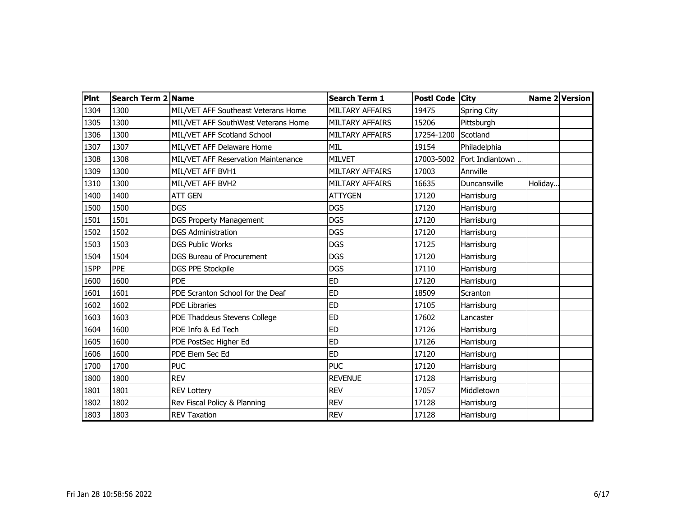| <b>Pint</b> | Search Term 2 Name |                                     | <b>Search Term 1</b>   | Postl Code City |                    |         | <b>Name 2 Version</b> |
|-------------|--------------------|-------------------------------------|------------------------|-----------------|--------------------|---------|-----------------------|
| 1304        | 1300               | MIL/VET AFF Southeast Veterans Home | MILTARY AFFAIRS        | 19475           | <b>Spring City</b> |         |                       |
| 1305        | 1300               | MIL/VET AFF SouthWest Veterans Home | <b>MILTARY AFFAIRS</b> | 15206           | Pittsburgh         |         |                       |
| 1306        | 1300               | MIL/VET AFF Scotland School         | <b>MILTARY AFFAIRS</b> | 17254-1200      | Scotland           |         |                       |
| 1307        | 1307               | MIL/VET AFF Delaware Home           | <b>MIL</b>             | 19154           | Philadelphia       |         |                       |
| 1308        | 1308               | MIL/VET AFF Reservation Maintenance | <b>MILVET</b>          | 17003-5002      | Fort Indiantown    |         |                       |
| 1309        | 1300               | MIL/VET AFF BVH1                    | <b>MILTARY AFFAIRS</b> | 17003           | Annville           |         |                       |
| 1310        | 1300               | MIL/VET AFF BVH2                    | <b>MILTARY AFFAIRS</b> | 16635           | Duncansville       | Holiday |                       |
| 1400        | 1400               | <b>ATT GEN</b>                      | <b>ATTYGEN</b>         | 17120           | Harrisburg         |         |                       |
| 1500        | 1500               | <b>DGS</b>                          | <b>DGS</b>             | 17120           | Harrisburg         |         |                       |
| 1501        | 1501               | <b>DGS Property Management</b>      | <b>DGS</b>             | 17120           | Harrisburg         |         |                       |
| 1502        | 1502               | <b>DGS Administration</b>           | <b>DGS</b>             | 17120           | Harrisburg         |         |                       |
| 1503        | 1503               | <b>DGS Public Works</b>             | <b>DGS</b>             | 17125           | Harrisburg         |         |                       |
| 1504        | 1504               | <b>DGS Bureau of Procurement</b>    | <b>DGS</b>             | 17120           | Harrisburg         |         |                       |
| 15PP        | <b>PPE</b>         | <b>DGS PPE Stockpile</b>            | <b>DGS</b>             | 17110           | Harrisburg         |         |                       |
| 1600        | 1600               | <b>PDE</b>                          | <b>ED</b>              | 17120           | Harrisburg         |         |                       |
| 1601        | 1601               | PDE Scranton School for the Deaf    | <b>ED</b>              | 18509           | Scranton           |         |                       |
| 1602        | 1602               | <b>PDE Libraries</b>                | <b>ED</b>              | 17105           | Harrisburg         |         |                       |
| 1603        | 1603               | PDE Thaddeus Stevens College        | <b>ED</b>              | 17602           | Lancaster          |         |                       |
| 1604        | 1600               | PDE Info & Ed Tech                  | <b>ED</b>              | 17126           | Harrisburg         |         |                       |
| 1605        | 1600               | PDE PostSec Higher Ed               | <b>ED</b>              | 17126           | Harrisburg         |         |                       |
| 1606        | 1600               | PDE Elem Sec Ed                     | <b>ED</b>              | 17120           | Harrisburg         |         |                       |
| 1700        | 1700               | <b>PUC</b>                          | <b>PUC</b>             | 17120           | Harrisburg         |         |                       |
| 1800        | 1800               | <b>REV</b>                          | <b>REVENUE</b>         | 17128           | Harrisburg         |         |                       |
| 1801        | 1801               | <b>REV Lottery</b>                  | <b>REV</b>             | 17057           | Middletown         |         |                       |
| 1802        | 1802               | Rev Fiscal Policy & Planning        | <b>REV</b>             | 17128           | Harrisburg         |         |                       |
| 1803        | 1803               | <b>REV Taxation</b>                 | <b>REV</b>             | 17128           | Harrisburg         |         |                       |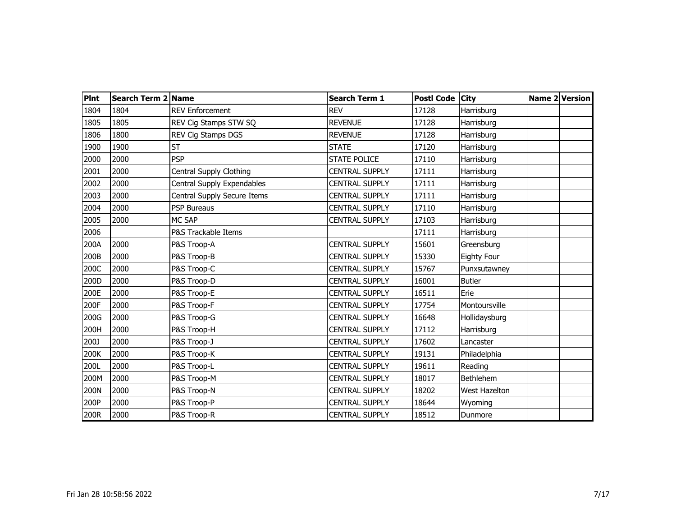| <b>Pint</b> | Search Term 2 Name |                             | <b>Search Term 1</b>  | Postl Code City |                      | Name 2 Version |
|-------------|--------------------|-----------------------------|-----------------------|-----------------|----------------------|----------------|
| 1804        | 1804               | <b>REV Enforcement</b>      | <b>REV</b>            | 17128           | Harrisburg           |                |
| 1805        | 1805               | REV Cig Stamps STW SQ       | <b>REVENUE</b>        | 17128           | Harrisburg           |                |
| 1806        | 1800               | REV Cig Stamps DGS          | <b>REVENUE</b>        | 17128           | Harrisburg           |                |
| 1900        | 1900               | <b>ST</b>                   | <b>STATE</b>          | 17120           | Harrisburg           |                |
| 2000        | 2000               | <b>PSP</b>                  | <b>STATE POLICE</b>   | 17110           | Harrisburg           |                |
| 2001        | 2000               | Central Supply Clothing     | <b>CENTRAL SUPPLY</b> | 17111           | Harrisburg           |                |
| 2002        | 2000               | Central Supply Expendables  | <b>CENTRAL SUPPLY</b> | 17111           | Harrisburg           |                |
| 2003        | 2000               | Central Supply Secure Items | <b>CENTRAL SUPPLY</b> | 17111           | Harrisburg           |                |
| 2004        | 2000               | <b>PSP Bureaus</b>          | <b>CENTRAL SUPPLY</b> | 17110           | Harrisburg           |                |
| 2005        | 2000               | MC SAP                      | <b>CENTRAL SUPPLY</b> | 17103           | Harrisburg           |                |
| 2006        |                    | P&S Trackable Items         |                       | 17111           | Harrisburg           |                |
| 200A        | 2000               | P&S Troop-A                 | <b>CENTRAL SUPPLY</b> | 15601           | Greensburg           |                |
| 200B        | 2000               | P&S Troop-B                 | <b>CENTRAL SUPPLY</b> | 15330           | <b>Eighty Four</b>   |                |
| 200C        | 2000               | P&S Troop-C                 | <b>CENTRAL SUPPLY</b> | 15767           | Punxsutawney         |                |
| 200D        | 2000               | P&S Troop-D                 | <b>CENTRAL SUPPLY</b> | 16001           | <b>Butler</b>        |                |
| 200E        | 2000               | P&S Troop-E                 | <b>CENTRAL SUPPLY</b> | 16511           | Erie                 |                |
| 200F        | 2000               | P&S Troop-F                 | <b>CENTRAL SUPPLY</b> | 17754           | Montoursville        |                |
| 200G        | 2000               | P&S Troop-G                 | <b>CENTRAL SUPPLY</b> | 16648           | Hollidaysburg        |                |
| 200H        | 2000               | P&S Troop-H                 | <b>CENTRAL SUPPLY</b> | 17112           | Harrisburg           |                |
| 200J        | 2000               | P&S Troop-J                 | <b>CENTRAL SUPPLY</b> | 17602           | Lancaster            |                |
| 200K        | 2000               | P&S Troop-K                 | <b>CENTRAL SUPPLY</b> | 19131           | Philadelphia         |                |
| 200L        | 2000               | P&S Troop-L                 | <b>CENTRAL SUPPLY</b> | 19611           | Reading              |                |
| 200M        | 2000               | P&S Troop-M                 | <b>CENTRAL SUPPLY</b> | 18017           | Bethlehem            |                |
| 200N        | 2000               | P&S Troop-N                 | <b>CENTRAL SUPPLY</b> | 18202           | <b>West Hazelton</b> |                |
| 200P        | 2000               | P&S Troop-P                 | <b>CENTRAL SUPPLY</b> | 18644           | Wyoming              |                |
| 200R        | 2000               | P&S Troop-R                 | <b>CENTRAL SUPPLY</b> | 18512           | Dunmore              |                |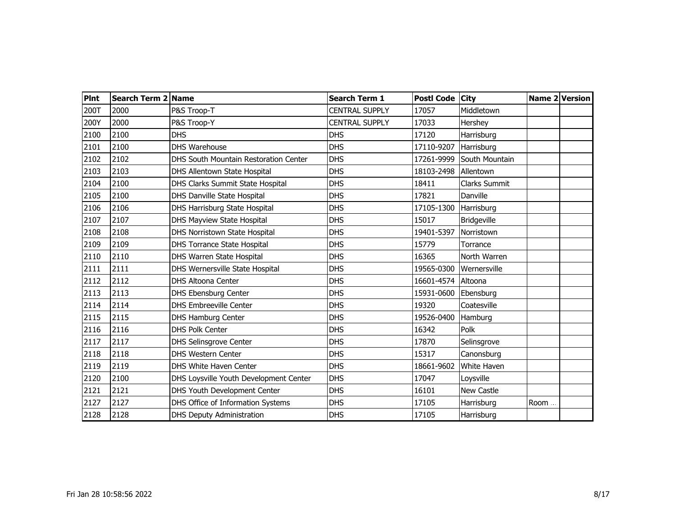| <b>PInt</b> | Search Term 2 Name |                                        | <b>Search Term 1</b>  | Postl Code City |                      |      | Name 2 Version |
|-------------|--------------------|----------------------------------------|-----------------------|-----------------|----------------------|------|----------------|
| 200T        | 2000               | P&S Troop-T                            | <b>CENTRAL SUPPLY</b> | 17057           | Middletown           |      |                |
| 200Y        | 2000               | P&S Troop-Y                            | <b>CENTRAL SUPPLY</b> | 17033           | Hershey              |      |                |
| 2100        | 2100               | <b>DHS</b>                             | <b>DHS</b>            | 17120           | Harrisburg           |      |                |
| 2101        | 2100               | <b>DHS Warehouse</b>                   | <b>DHS</b>            | 17110-9207      | Harrisburg           |      |                |
| 2102        | 2102               | DHS South Mountain Restoration Center  | <b>DHS</b>            | 17261-9999      | South Mountain       |      |                |
| 2103        | 2103               | DHS Allentown State Hospital           | <b>DHS</b>            | 18103-2498      | Allentown            |      |                |
| 2104        | 2100               | DHS Clarks Summit State Hospital       | <b>DHS</b>            | 18411           | <b>Clarks Summit</b> |      |                |
| 2105        | 2100               | <b>DHS Danville State Hospital</b>     | <b>DHS</b>            | 17821           | Danville             |      |                |
| 2106        | 2106               | DHS Harrisburg State Hospital          | <b>DHS</b>            | 17105-1300      | Harrisburg           |      |                |
| 2107        | 2107               | DHS Mayview State Hospital             | <b>DHS</b>            | 15017           | Bridgeville          |      |                |
| 2108        | 2108               | DHS Norristown State Hospital          | <b>DHS</b>            | 19401-5397      | Norristown           |      |                |
| 2109        | 2109               | <b>DHS Torrance State Hospital</b>     | <b>DHS</b>            | 15779           | Torrance             |      |                |
| 2110        | 2110               | DHS Warren State Hospital              | <b>DHS</b>            | 16365           | North Warren         |      |                |
| 2111        | 2111               | DHS Wernersville State Hospital        | <b>DHS</b>            | 19565-0300      | Wernersville         |      |                |
| 2112        | 2112               | <b>DHS Altoona Center</b>              | <b>DHS</b>            | 16601-4574      | Altoona              |      |                |
| 2113        | 2113               | DHS Ebensburg Center                   | <b>DHS</b>            | 15931-0600      | Ebensburg            |      |                |
| 2114        | 2114               | <b>DHS Embreeville Center</b>          | <b>DHS</b>            | 19320           | Coatesville          |      |                |
| 2115        | 2115               | DHS Hamburg Center                     | <b>DHS</b>            | 19526-0400      | Hamburg              |      |                |
| 2116        | 2116               | <b>DHS Polk Center</b>                 | <b>DHS</b>            | 16342           | Polk                 |      |                |
| 2117        | 2117               | DHS Selinsgrove Center                 | <b>DHS</b>            | 17870           | Selinsgrove          |      |                |
| 2118        | 2118               | <b>DHS Western Center</b>              | <b>DHS</b>            | 15317           | Canonsburg           |      |                |
| 2119        | 2119               | DHS White Haven Center                 | <b>DHS</b>            | 18661-9602      | White Haven          |      |                |
| 2120        | 2100               | DHS Loysville Youth Development Center | <b>DHS</b>            | 17047           | Loysville            |      |                |
| 2121        | 2121               | DHS Youth Development Center           | <b>DHS</b>            | 16101           | New Castle           |      |                |
| 2127        | 2127               | DHS Office of Information Systems      | <b>DHS</b>            | 17105           | Harrisburg           | Room |                |
| 2128        | 2128               | <b>DHS Deputy Administration</b>       | <b>DHS</b>            | 17105           | Harrisburg           |      |                |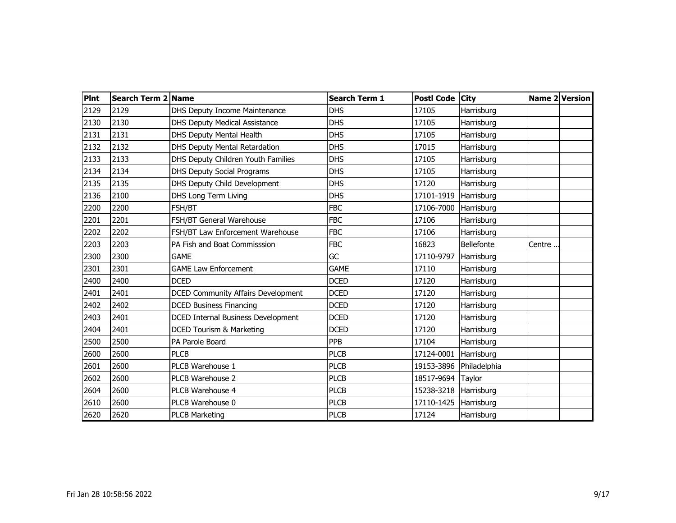| <b>PInt</b> | Search Term 2 Name |                                           | <b>Search Term 1</b> | Postl Code City       |              |        | <b>Name 2 Version</b> |
|-------------|--------------------|-------------------------------------------|----------------------|-----------------------|--------------|--------|-----------------------|
| 2129        | 2129               | DHS Deputy Income Maintenance             | <b>DHS</b>           | 17105                 | Harrisburg   |        |                       |
| 2130        | 2130               | DHS Deputy Medical Assistance             | <b>DHS</b>           | 17105                 | Harrisburg   |        |                       |
| 2131        | 2131               | DHS Deputy Mental Health                  | <b>DHS</b>           | 17105                 | Harrisburg   |        |                       |
| 2132        | 2132               | DHS Deputy Mental Retardation             | <b>DHS</b>           | 17015                 | Harrisburg   |        |                       |
| 2133        | 2133               | DHS Deputy Children Youth Families        | <b>DHS</b>           | 17105                 | Harrisburg   |        |                       |
| 2134        | 2134               | <b>DHS Deputy Social Programs</b>         | DHS                  | 17105                 | Harrisburg   |        |                       |
| 2135        | 2135               | DHS Deputy Child Development              | <b>DHS</b>           | 17120                 | Harrisburg   |        |                       |
| 2136        | 2100               | DHS Long Term Living                      | <b>DHS</b>           | 17101-1919            | Harrisburg   |        |                       |
| 2200        | 2200               | FSH/BT                                    | <b>FBC</b>           | 17106-7000            | Harrisburg   |        |                       |
| 2201        | 2201               | FSH/BT General Warehouse                  | <b>FBC</b>           | 17106                 | Harrisburg   |        |                       |
| 2202        | 2202               | FSH/BT Law Enforcement Warehouse          | FBC                  | 17106                 | Harrisburg   |        |                       |
| 2203        | 2203               | PA Fish and Boat Commisssion              | <b>FBC</b>           | 16823                 | Bellefonte   | Centre |                       |
| 2300        | 2300               | <b>GAME</b>                               | GC                   | 17110-9797            | Harrisburg   |        |                       |
| 2301        | 2301               | <b>GAME Law Enforcement</b>               | <b>GAME</b>          | 17110                 | Harrisburg   |        |                       |
| 2400        | 2400               | <b>DCED</b>                               | <b>DCED</b>          | 17120                 | Harrisburg   |        |                       |
| 2401        | 2401               | <b>DCED Community Affairs Development</b> | <b>DCED</b>          | 17120                 | Harrisburg   |        |                       |
| 2402        | 2402               | <b>DCED Business Financing</b>            | <b>DCED</b>          | 17120                 | Harrisburg   |        |                       |
| 2403        | 2401               | <b>DCED Internal Business Development</b> | <b>DCED</b>          | 17120                 | Harrisburg   |        |                       |
| 2404        | 2401               | DCED Tourism & Marketing                  | <b>DCED</b>          | 17120                 | Harrisburg   |        |                       |
| 2500        | 2500               | PA Parole Board                           | <b>PPB</b>           | 17104                 | Harrisburg   |        |                       |
| 2600        | 2600               | <b>PLCB</b>                               | <b>PLCB</b>          | 17124-0001            | Harrisburg   |        |                       |
| 2601        | 2600               | PLCB Warehouse 1                          | <b>PLCB</b>          | 19153-3896            | Philadelphia |        |                       |
| 2602        | 2600               | PLCB Warehouse 2                          | <b>PLCB</b>          | 18517-9694            | Taylor       |        |                       |
| 2604        | 2600               | PLCB Warehouse 4                          | <b>PLCB</b>          | 15238-3218 Harrisburg |              |        |                       |
| 2610        | 2600               | PLCB Warehouse 0                          | <b>PLCB</b>          | 17110-1425            | Harrisburg   |        |                       |
| 2620        | 2620               | <b>PLCB Marketing</b>                     | <b>PLCB</b>          | 17124                 | Harrisburg   |        |                       |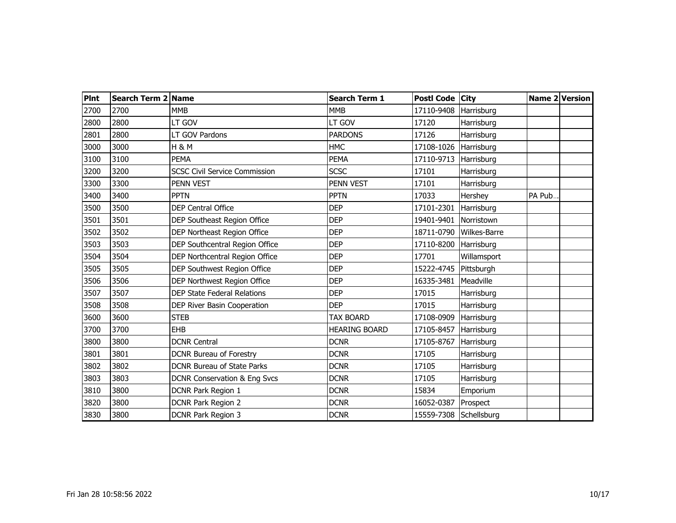| <b>Pint</b> | Search Term 2 Name |                                      | <b>Search Term 1</b> | Postl Code City        |              |        | <b>Name 2 Version</b> |
|-------------|--------------------|--------------------------------------|----------------------|------------------------|--------------|--------|-----------------------|
| 2700        | 2700               | <b>MMB</b>                           | <b>MMB</b>           | 17110-9408             | Harrisburg   |        |                       |
| 2800        | 2800               | LT GOV                               | LT GOV               | 17120                  | Harrisburg   |        |                       |
| 2801        | 2800               | LT GOV Pardons                       | <b>PARDONS</b>       | 17126                  | Harrisburg   |        |                       |
| 3000        | 3000               | <b>H &amp; M</b>                     | <b>HMC</b>           | 17108-1026             | Harrisburg   |        |                       |
| 3100        | 3100               | <b>PEMA</b>                          | <b>PEMA</b>          | 17110-9713             | Harrisburg   |        |                       |
| 3200        | 3200               | <b>SCSC Civil Service Commission</b> | <b>SCSC</b>          | 17101                  | Harrisburg   |        |                       |
| 3300        | 3300               | PENN VEST                            | PENN VEST            | 17101                  | Harrisburg   |        |                       |
| 3400        | 3400               | <b>PPTN</b>                          | <b>PPTN</b>          | 17033                  | Hershey      | PA Pub |                       |
| 3500        | 3500               | <b>DEP Central Office</b>            | <b>DEP</b>           | 17101-2301             | Harrisburg   |        |                       |
| 3501        | 3501               | DEP Southeast Region Office          | <b>DEP</b>           | 19401-9401             | Norristown   |        |                       |
| 3502        | 3502               | DEP Northeast Region Office          | <b>DEP</b>           | 18711-0790             | Wilkes-Barre |        |                       |
| 3503        | 3503               | DEP Southcentral Region Office       | <b>DEP</b>           | 17110-8200             | Harrisburg   |        |                       |
| 3504        | 3504               | DEP Northcentral Region Office       | <b>DEP</b>           | 17701                  | Willamsport  |        |                       |
| 3505        | 3505               | DEP Southwest Region Office          | <b>DEP</b>           | 15222-4745             | Pittsburgh   |        |                       |
| 3506        | 3506               | DEP Northwest Region Office          | <b>DEP</b>           | 16335-3481             | Meadville    |        |                       |
| 3507        | 3507               | DEP State Federal Relations          | <b>DEP</b>           | 17015                  | Harrisburg   |        |                       |
| 3508        | 3508               | DEP River Basin Cooperation          | <b>DEP</b>           | 17015                  | Harrisburg   |        |                       |
| 3600        | 3600               | <b>STEB</b>                          | <b>TAX BOARD</b>     | 17108-0909             | Harrisburg   |        |                       |
| 3700        | 3700               | EHB                                  | <b>HEARING BOARD</b> | 17105-8457             | Harrisburg   |        |                       |
| 3800        | 3800               | <b>DCNR Central</b>                  | <b>DCNR</b>          | 17105-8767             | Harrisburg   |        |                       |
| 3801        | 3801               | <b>DCNR Bureau of Forestry</b>       | <b>DCNR</b>          | 17105                  | Harrisburg   |        |                       |
| 3802        | 3802               | <b>DCNR Bureau of State Parks</b>    | <b>DCNR</b>          | 17105                  | Harrisburg   |        |                       |
| 3803        | 3803               | DCNR Conservation & Eng Svcs         | <b>DCNR</b>          | 17105                  | Harrisburg   |        |                       |
| 3810        | 3800               | DCNR Park Region 1                   | <b>DCNR</b>          | 15834                  | Emporium     |        |                       |
| 3820        | 3800               | DCNR Park Region 2                   | <b>DCNR</b>          | 16052-0387             | Prospect     |        |                       |
| 3830        | 3800               | <b>DCNR Park Region 3</b>            | <b>DCNR</b>          | 15559-7308 Schellsburg |              |        |                       |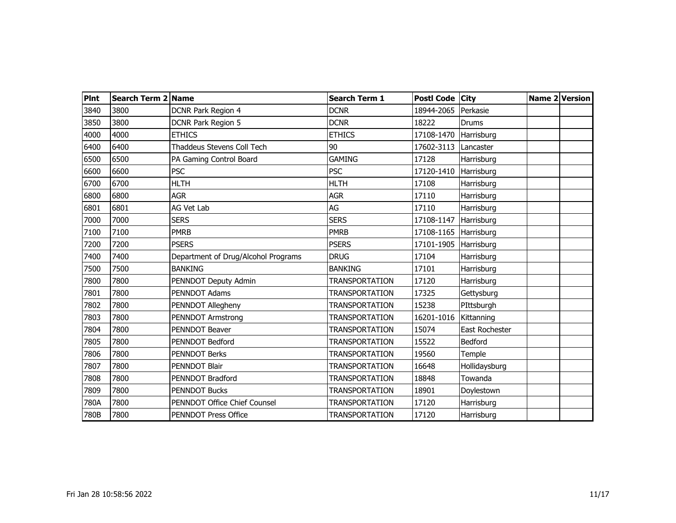| <b>Pint</b> | Search Term 2 Name |                                     | <b>Search Term 1</b>  | Postl Code City |                | Name 2 Version |
|-------------|--------------------|-------------------------------------|-----------------------|-----------------|----------------|----------------|
| 3840        | 3800               | DCNR Park Region 4                  | <b>DCNR</b>           | 18944-2065      | Perkasie       |                |
| 3850        | 3800               | DCNR Park Region 5                  | <b>DCNR</b>           | 18222           | <b>Drums</b>   |                |
| 4000        | 4000               | <b>ETHICS</b>                       | <b>ETHICS</b>         | 17108-1470      | Harrisburg     |                |
| 6400        | 6400               | Thaddeus Stevens Coll Tech          | 90                    | 17602-3113      | Lancaster      |                |
| 6500        | 6500               | PA Gaming Control Board             | <b>GAMING</b>         | 17128           | Harrisburg     |                |
| 6600        | 6600               | <b>PSC</b>                          | <b>PSC</b>            | 17120-1410      | Harrisburg     |                |
| 6700        | 6700               | <b>HLTH</b>                         | <b>HLTH</b>           | 17108           | Harrisburg     |                |
| 6800        | 6800               | <b>AGR</b>                          | <b>AGR</b>            | 17110           | Harrisburg     |                |
| 6801        | 6801               | AG Vet Lab                          | AG                    | 17110           | Harrisburg     |                |
| 7000        | 7000               | <b>SERS</b>                         | <b>SERS</b>           | 17108-1147      | Harrisburg     |                |
| 7100        | 7100               | <b>PMRB</b>                         | <b>PMRB</b>           | 17108-1165      | Harrisburg     |                |
| 7200        | 7200               | <b>PSERS</b>                        | <b>PSERS</b>          | 17101-1905      | Harrisburg     |                |
| 7400        | 7400               | Department of Drug/Alcohol Programs | <b>DRUG</b>           | 17104           | Harrisburg     |                |
| 7500        | 7500               | <b>BANKING</b>                      | <b>BANKING</b>        | 17101           | Harrisburg     |                |
| 7800        | 7800               | PENNDOT Deputy Admin                | <b>TRANSPORTATION</b> | 17120           | Harrisburg     |                |
| 7801        | 7800               | PENNDOT Adams                       | <b>TRANSPORTATION</b> | 17325           | Gettysburg     |                |
| 7802        | 7800               | PENNDOT Allegheny                   | <b>TRANSPORTATION</b> | 15238           | PIttsburgh     |                |
| 7803        | 7800               | <b>PENNDOT Armstrong</b>            | <b>TRANSPORTATION</b> | 16201-1016      | Kittanning     |                |
| 7804        | 7800               | <b>PENNDOT Beaver</b>               | <b>TRANSPORTATION</b> | 15074           | East Rochester |                |
| 7805        | 7800               | PENNDOT Bedford                     | <b>TRANSPORTATION</b> | 15522           | Bedford        |                |
| 7806        | 7800               | <b>PENNDOT Berks</b>                | <b>TRANSPORTATION</b> | 19560           | Temple         |                |
| 7807        | 7800               | PENNDOT Blair                       | <b>TRANSPORTATION</b> | 16648           | Hollidaysburg  |                |
| 7808        | 7800               | PENNDOT Bradford                    | <b>TRANSPORTATION</b> | 18848           | Towanda        |                |
| 7809        | 7800               | <b>PENNDOT Bucks</b>                | <b>TRANSPORTATION</b> | 18901           | Doylestown     |                |
| 780A        | 7800               | PENNDOT Office Chief Counsel        | <b>TRANSPORTATION</b> | 17120           | Harrisburg     |                |
| 780B        | 7800               | <b>PENNDOT Press Office</b>         | <b>TRANSPORTATION</b> | 17120           | Harrisburg     |                |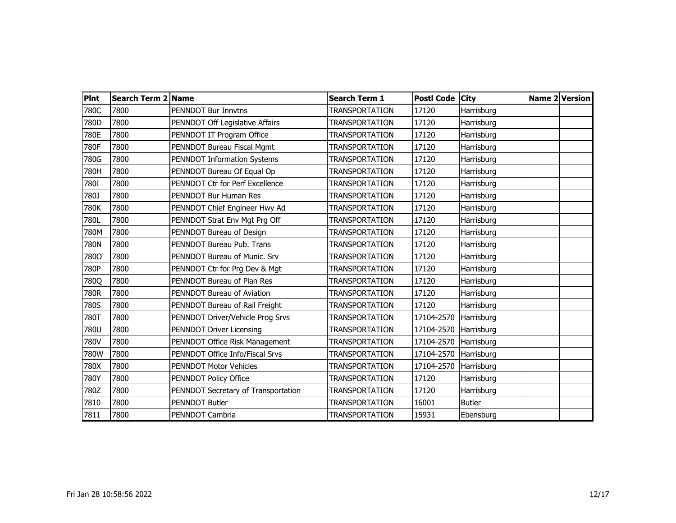| <b>Pint</b> | Search Term 2 Name |                                     | <b>Search Term 1</b>  | Postl Code City |               | Name 2 Version |
|-------------|--------------------|-------------------------------------|-----------------------|-----------------|---------------|----------------|
| 780C        | 7800               | PENNDOT Bur Innvtns                 | <b>TRANSPORTATION</b> | 17120           | Harrisburg    |                |
| 780D        | 7800               | PENNDOT Off Legislative Affairs     | <b>TRANSPORTATION</b> | 17120           | Harrisburg    |                |
| 780E        | 7800               | PENNDOT IT Program Office           | TRANSPORTATION        | 17120           | Harrisburg    |                |
| 780F        | 7800               | PENNDOT Bureau Fiscal Mgmt          | <b>TRANSPORTATION</b> | 17120           | Harrisburg    |                |
| 780G        | 7800               | PENNDOT Information Systems         | TRANSPORTATION        | 17120           | Harrisburg    |                |
| 780H        | 7800               | PENNDOT Bureau Of Equal Op          | <b>TRANSPORTATION</b> | 17120           | Harrisburg    |                |
| 780I        | 7800               | PENNDOT Ctr for Perf Excellence     | <b>TRANSPORTATION</b> | 17120           | Harrisburg    |                |
| 780J        | 7800               | PENNDOT Bur Human Res               | <b>TRANSPORTATION</b> | 17120           | Harrisburg    |                |
| 780K        | 7800               | PENNDOT Chief Engineer Hwy Ad       | <b>TRANSPORTATION</b> | 17120           | Harrisburg    |                |
| 780L        | 7800               | PENNDOT Strat Env Mgt Prg Off       | <b>TRANSPORTATION</b> | 17120           | Harrisburg    |                |
| 780M        | 7800               | PENNDOT Bureau of Design            | <b>TRANSPORTATION</b> | 17120           | Harrisburg    |                |
| 780N        | 7800               | PENNDOT Bureau Pub. Trans           | <b>TRANSPORTATION</b> | 17120           | Harrisburg    |                |
| 7800        | 7800               | PENNDOT Bureau of Munic. Srv        | <b>TRANSPORTATION</b> | 17120           | Harrisburg    |                |
| 780P        | 7800               | PENNDOT Ctr for Prg Dev & Mgt       | TRANSPORTATION        | 17120           | Harrisburg    |                |
| 780Q        | 7800               | PENNDOT Bureau of Plan Res          | <b>TRANSPORTATION</b> | 17120           | Harrisburg    |                |
| 780R        | 7800               | PENNDOT Bureau of Aviation          | <b>TRANSPORTATION</b> | 17120           | Harrisburg    |                |
| 780S        | 7800               | PENNDOT Bureau of Rail Freight      | <b>TRANSPORTATION</b> | 17120           | Harrisburg    |                |
| 780T        | 7800               | PENNDOT Driver/Vehicle Prog Srvs    | TRANSPORTATION        | 17104-2570      | Harrisburg    |                |
| 780U        | 7800               | PENNDOT Driver Licensing            | TRANSPORTATION        | 17104-2570      | Harrisburg    |                |
| 780V        | 7800               | PENNDOT Office Risk Management      | TRANSPORTATION        | 17104-2570      | Harrisburg    |                |
| 780W        | 7800               | PENNDOT Office Info/Fiscal Srvs     | TRANSPORTATION        | 17104-2570      | Harrisburg    |                |
| 780X        | 7800               | <b>PENNDOT Motor Vehicles</b>       | TRANSPORTATION        | 17104-2570      | Harrisburg    |                |
| 780Y        | 7800               | PENNDOT Policy Office               | <b>TRANSPORTATION</b> | 17120           | Harrisburg    |                |
| 780Z        | 7800               | PENNDOT Secretary of Transportation | <b>TRANSPORTATION</b> | 17120           | Harrisburg    |                |
| 7810        | 7800               | <b>PENNDOT Butler</b>               | <b>TRANSPORTATION</b> | 16001           | <b>Butler</b> |                |
| 7811        | 7800               | PENNDOT Cambria                     | TRANSPORTATION        | 15931           | Ebensburg     |                |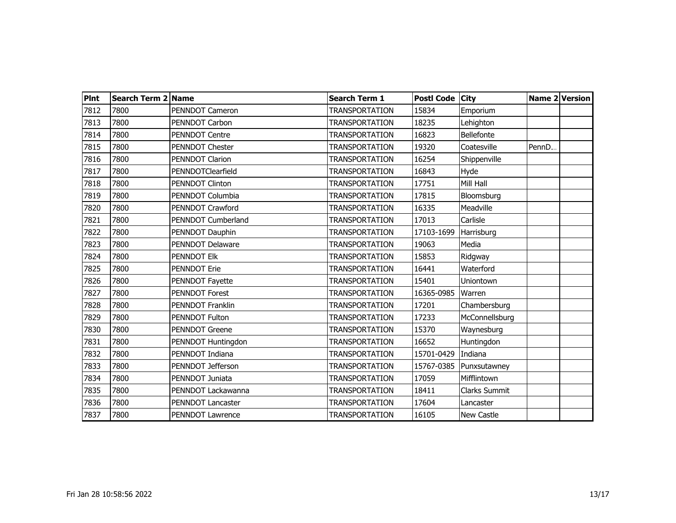| PInt | Search Term 2 Name |                       | <b>Search Term 1</b>  | <b>Postl Code</b> | <b>City</b>    |       | <b>Name 2 Version</b> |
|------|--------------------|-----------------------|-----------------------|-------------------|----------------|-------|-----------------------|
| 7812 | 7800               | PENNDOT Cameron       | <b>TRANSPORTATION</b> | 15834             | Emporium       |       |                       |
| 7813 | 7800               | PENNDOT Carbon        | <b>TRANSPORTATION</b> | 18235             | Lehighton      |       |                       |
| 7814 | 7800               | <b>PENNDOT Centre</b> | <b>TRANSPORTATION</b> | 16823             | Bellefonte     |       |                       |
| 7815 | 7800               | PENNDOT Chester       | <b>TRANSPORTATION</b> | 19320             | Coatesville    | PennD |                       |
| 7816 | 7800               | PENNDOT Clarion       | <b>TRANSPORTATION</b> | 16254             | Shippenville   |       |                       |
| 7817 | 7800               | PENNDOTClearfield     | <b>TRANSPORTATION</b> | 16843             | Hyde           |       |                       |
| 7818 | 7800               | PENNDOT Clinton       | <b>TRANSPORTATION</b> | 17751             | Mill Hall      |       |                       |
| 7819 | 7800               | PENNDOT Columbia      | <b>TRANSPORTATION</b> | 17815             | Bloomsburg     |       |                       |
| 7820 | 7800               | PENNDOT Crawford      | <b>TRANSPORTATION</b> | 16335             | Meadville      |       |                       |
| 7821 | 7800               | PENNDOT Cumberland    | <b>TRANSPORTATION</b> | 17013             | Carlisle       |       |                       |
| 7822 | 7800               | PENNDOT Dauphin       | <b>TRANSPORTATION</b> | 17103-1699        | Harrisburg     |       |                       |
| 7823 | 7800               | PENNDOT Delaware      | <b>TRANSPORTATION</b> | 19063             | Media          |       |                       |
| 7824 | 7800               | PENNDOT Elk           | <b>TRANSPORTATION</b> | 15853             | Ridgway        |       |                       |
| 7825 | 7800               | <b>PENNDOT Erie</b>   | <b>TRANSPORTATION</b> | 16441             | Waterford      |       |                       |
| 7826 | 7800               | PENNDOT Fayette       | <b>TRANSPORTATION</b> | 15401             | Uniontown      |       |                       |
| 7827 | 7800               | PENNDOT Forest        | <b>TRANSPORTATION</b> | 16365-0985        | Warren         |       |                       |
| 7828 | 7800               | PENNDOT Franklin      | <b>TRANSPORTATION</b> | 17201             | Chambersburg   |       |                       |
| 7829 | 7800               | PENNDOT Fulton        | <b>TRANSPORTATION</b> | 17233             | McConnellsburg |       |                       |
| 7830 | 7800               | <b>PENNDOT Greene</b> | <b>TRANSPORTATION</b> | 15370             | Waynesburg     |       |                       |
| 7831 | 7800               | PENNDOT Huntingdon    | <b>TRANSPORTATION</b> | 16652             | Huntingdon     |       |                       |
| 7832 | 7800               | PENNDOT Indiana       | <b>TRANSPORTATION</b> | 15701-0429        | Indiana        |       |                       |
| 7833 | 7800               | PENNDOT Jefferson     | <b>TRANSPORTATION</b> | 15767-0385        | Punxsutawney   |       |                       |
| 7834 | 7800               | PENNDOT Juniata       | <b>TRANSPORTATION</b> | 17059             | Mifflintown    |       |                       |
| 7835 | 7800               | PENNDOT Lackawanna    | <b>TRANSPORTATION</b> | 18411             | Clarks Summit  |       |                       |
| 7836 | 7800               | PENNDOT Lancaster     | <b>TRANSPORTATION</b> | 17604             | Lancaster      |       |                       |
| 7837 | 7800               | PENNDOT Lawrence      | <b>TRANSPORTATION</b> | 16105             | New Castle     |       |                       |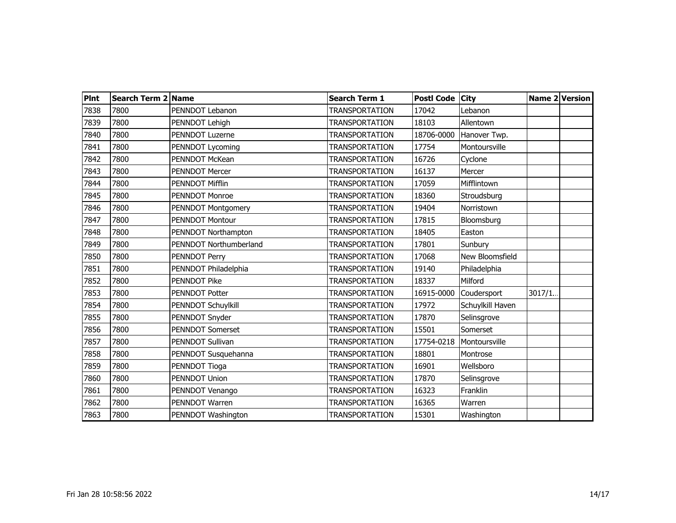| <b>Pint</b> | Search Term 2 Name |                         | <b>Search Term 1</b>  | Postl Code City |                  |        | Name 2 Version |
|-------------|--------------------|-------------------------|-----------------------|-----------------|------------------|--------|----------------|
| 7838        | 7800               | PENNDOT Lebanon         | <b>TRANSPORTATION</b> | 17042           | Lebanon          |        |                |
| 7839        | 7800               | PENNDOT Lehigh          | <b>TRANSPORTATION</b> | 18103           | Allentown        |        |                |
| 7840        | 7800               | PENNDOT Luzerne         | <b>TRANSPORTATION</b> | 18706-0000      | Hanover Twp.     |        |                |
| 7841        | 7800               | PENNDOT Lycoming        | <b>TRANSPORTATION</b> | 17754           | Montoursville    |        |                |
| 7842        | 7800               | <b>PENNDOT McKean</b>   | <b>TRANSPORTATION</b> | 16726           | Cyclone          |        |                |
| 7843        | 7800               | <b>PENNDOT Mercer</b>   | <b>TRANSPORTATION</b> | 16137           | Mercer           |        |                |
| 7844        | 7800               | <b>PENNDOT Mifflin</b>  | <b>TRANSPORTATION</b> | 17059           | Mifflintown      |        |                |
| 7845        | 7800               | <b>PENNDOT Monroe</b>   | <b>TRANSPORTATION</b> | 18360           | Stroudsburg      |        |                |
| 7846        | 7800               | PENNDOT Montgomery      | <b>TRANSPORTATION</b> | 19404           | Norristown       |        |                |
| 7847        | 7800               | <b>PENNDOT Montour</b>  | <b>TRANSPORTATION</b> | 17815           | Bloomsburg       |        |                |
| 7848        | 7800               | PENNDOT Northampton     | <b>TRANSPORTATION</b> | 18405           | Easton           |        |                |
| 7849        | 7800               | PENNDOT Northumberland  | <b>TRANSPORTATION</b> | 17801           | Sunbury          |        |                |
| 7850        | 7800               | PENNDOT Perry           | <b>TRANSPORTATION</b> | 17068           | New Bloomsfield  |        |                |
| 7851        | 7800               | PENNDOT Philadelphia    | <b>TRANSPORTATION</b> | 19140           | Philadelphia     |        |                |
| 7852        | 7800               | <b>PENNDOT Pike</b>     | <b>TRANSPORTATION</b> | 18337           | Milford          |        |                |
| 7853        | 7800               | <b>PENNDOT Potter</b>   | <b>TRANSPORTATION</b> | 16915-0000      | Coudersport      | 3017/1 |                |
| 7854        | 7800               | PENNDOT Schuylkill      | <b>TRANSPORTATION</b> | 17972           | Schuylkill Haven |        |                |
| 7855        | 7800               | PENNDOT Snyder          | TRANSPORTATION        | 17870           | Selinsgrove      |        |                |
| 7856        | 7800               | <b>PENNDOT Somerset</b> | <b>TRANSPORTATION</b> | 15501           | Somerset         |        |                |
| 7857        | 7800               | PENNDOT Sullivan        | <b>TRANSPORTATION</b> | 17754-0218      | Montoursville    |        |                |
| 7858        | 7800               | PENNDOT Susquehanna     | <b>TRANSPORTATION</b> | 18801           | Montrose         |        |                |
| 7859        | 7800               | PENNDOT Tioga           | TRANSPORTATION        | 16901           | Wellsboro        |        |                |
| 7860        | 7800               | <b>PENNDOT Union</b>    | <b>TRANSPORTATION</b> | 17870           | Selinsgrove      |        |                |
| 7861        | 7800               | PENNDOT Venango         | <b>TRANSPORTATION</b> | 16323           | Franklin         |        |                |
| 7862        | 7800               | PENNDOT Warren          | <b>TRANSPORTATION</b> | 16365           | Warren           |        |                |
| 7863        | 7800               | PENNDOT Washington      | <b>TRANSPORTATION</b> | 15301           | Washington       |        |                |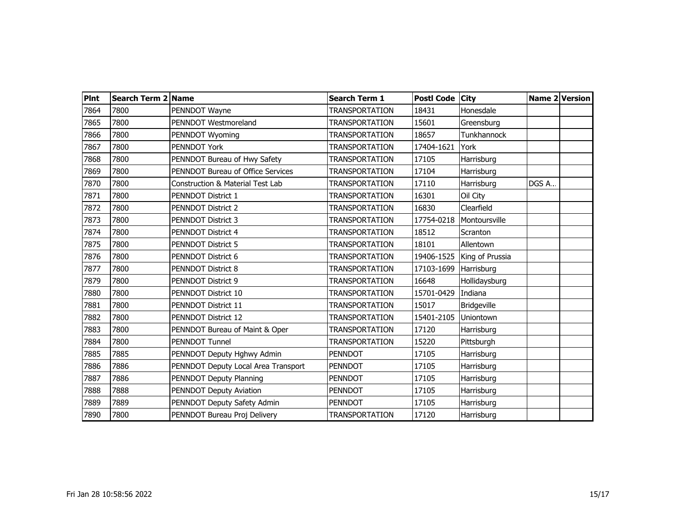| <b>Pint</b> | Search Term 2 Name |                                     | <b>Search Term 1</b>  | Postl Code City |                    |       | Name 2 Version |
|-------------|--------------------|-------------------------------------|-----------------------|-----------------|--------------------|-------|----------------|
| 7864        | 7800               | PENNDOT Wayne                       | <b>TRANSPORTATION</b> | 18431           | Honesdale          |       |                |
| 7865        | 7800               | PENNDOT Westmoreland                | <b>TRANSPORTATION</b> | 15601           | Greensburg         |       |                |
| 7866        | 7800               | PENNDOT Wyoming                     | <b>TRANSPORTATION</b> | 18657           | Tunkhannock        |       |                |
| 7867        | 7800               | PENNDOT York                        | <b>TRANSPORTATION</b> | 17404-1621      | York               |       |                |
| 7868        | 7800               | PENNDOT Bureau of Hwy Safety        | <b>TRANSPORTATION</b> | 17105           | Harrisburg         |       |                |
| 7869        | 7800               | PENNDOT Bureau of Office Services   | <b>TRANSPORTATION</b> | 17104           | Harrisburg         |       |                |
| 7870        | 7800               | Construction & Material Test Lab    | <b>TRANSPORTATION</b> | 17110           | Harrisburg         | DGS A |                |
| 7871        | 7800               | PENNDOT District 1                  | <b>TRANSPORTATION</b> | 16301           | Oil City           |       |                |
| 7872        | 7800               | PENNDOT District 2                  | <b>TRANSPORTATION</b> | 16830           | Clearfield         |       |                |
| 7873        | 7800               | <b>PENNDOT District 3</b>           | <b>TRANSPORTATION</b> | 17754-0218      | Montoursville      |       |                |
| 7874        | 7800               | PENNDOT District 4                  | <b>TRANSPORTATION</b> | 18512           | Scranton           |       |                |
| 7875        | 7800               | PENNDOT District 5                  | <b>TRANSPORTATION</b> | 18101           | Allentown          |       |                |
| 7876        | 7800               | PENNDOT District 6                  | <b>TRANSPORTATION</b> | 19406-1525      | King of Prussia    |       |                |
| 7877        | 7800               | PENNDOT District 8                  | <b>TRANSPORTATION</b> | 17103-1699      | Harrisburg         |       |                |
| 7879        | 7800               | <b>PENNDOT District 9</b>           | <b>TRANSPORTATION</b> | 16648           | Hollidaysburg      |       |                |
| 7880        | 7800               | PENNDOT District 10                 | <b>TRANSPORTATION</b> | 15701-0429      | Indiana            |       |                |
| 7881        | 7800               | PENNDOT District 11                 | <b>TRANSPORTATION</b> | 15017           | <b>Bridgeville</b> |       |                |
| 7882        | 7800               | PENNDOT District 12                 | <b>TRANSPORTATION</b> | 15401-2105      | Uniontown          |       |                |
| 7883        | 7800               | PENNDOT Bureau of Maint & Oper      | <b>TRANSPORTATION</b> | 17120           | Harrisburg         |       |                |
| 7884        | 7800               | <b>PENNDOT Tunnel</b>               | <b>TRANSPORTATION</b> | 15220           | Pittsburgh         |       |                |
| 7885        | 7885               | PENNDOT Deputy Hghwy Admin          | <b>PENNDOT</b>        | 17105           | Harrisburg         |       |                |
| 7886        | 7886               | PENNDOT Deputy Local Area Transport | PENNDOT               | 17105           | Harrisburg         |       |                |
| 7887        | 7886               | PENNDOT Deputy Planning             | <b>PENNDOT</b>        | 17105           | Harrisburg         |       |                |
| 7888        | 7888               | PENNDOT Deputy Aviation             | PENNDOT               | 17105           | Harrisburg         |       |                |
| 7889        | 7889               | PENNDOT Deputy Safety Admin         | <b>PENNDOT</b>        | 17105           | Harrisburg         |       |                |
| 7890        | 7800               | PENNDOT Bureau Proj Delivery        | TRANSPORTATION        | 17120           | Harrisburg         |       |                |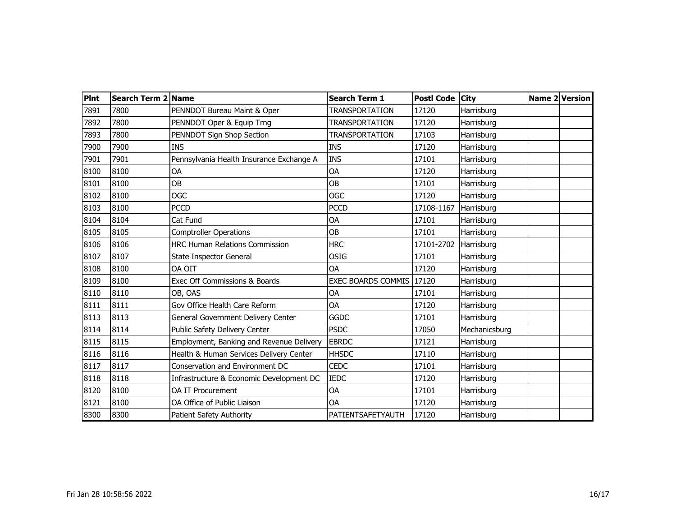| <b>PInt</b> | Search Term 2 Name |                                          | <b>Search Term 1</b>     | Postl Code City |               | Name 2 Version |
|-------------|--------------------|------------------------------------------|--------------------------|-----------------|---------------|----------------|
| 7891        | 7800               | PENNDOT Bureau Maint & Oper              | <b>TRANSPORTATION</b>    | 17120           | Harrisburg    |                |
| 7892        | 7800               | PENNDOT Oper & Equip Trng                | <b>TRANSPORTATION</b>    | 17120           | Harrisburg    |                |
| 7893        | 7800               | PENNDOT Sign Shop Section                | <b>TRANSPORTATION</b>    | 17103           | Harrisburg    |                |
| 7900        | 7900               | <b>INS</b>                               | <b>INS</b>               | 17120           | Harrisburg    |                |
| 7901        | 7901               | Pennsylvania Health Insurance Exchange A | <b>INS</b>               | 17101           | Harrisburg    |                |
| 8100        | 8100               | OA                                       | OA                       | 17120           | Harrisburg    |                |
| 8101        | 8100               | <b>OB</b>                                | <b>OB</b>                | 17101           | Harrisburg    |                |
| 8102        | 8100               | <b>OGC</b>                               | <b>OGC</b>               | 17120           | Harrisburg    |                |
| 8103        | 8100               | <b>PCCD</b>                              | <b>PCCD</b>              | 17108-1167      | Harrisburg    |                |
| 8104        | 8104               | Cat Fund                                 | OA                       | 17101           | Harrisburg    |                |
| 8105        | 8105               | <b>Comptroller Operations</b>            | <b>OB</b>                | 17101           | Harrisburg    |                |
| 8106        | 8106               | <b>HRC Human Relations Commission</b>    | <b>HRC</b>               | 17101-2702      | Harrisburg    |                |
| 8107        | 8107               | State Inspector General                  | <b>OSIG</b>              | 17101           | Harrisburg    |                |
| 8108        | 8100               | OA OIT                                   | OA                       | 17120           | Harrisburg    |                |
| 8109        | 8100               | Exec Off Commissions & Boards            | EXEC BOARDS COMMIS 17120 |                 | Harrisburg    |                |
| 8110        | 8110               | OB, OAS                                  | OA                       | 17101           | Harrisburg    |                |
| 8111        | 8111               | Gov Office Health Care Reform            | <b>OA</b>                | 17120           | Harrisburg    |                |
| 8113        | 8113               | General Government Delivery Center       | <b>GGDC</b>              | 17101           | Harrisburg    |                |
| 8114        | 8114               | Public Safety Delivery Center            | <b>PSDC</b>              | 17050           | Mechanicsburg |                |
| 8115        | 8115               | Employment, Banking and Revenue Delivery | <b>EBRDC</b>             | 17121           | Harrisburg    |                |
| 8116        | 8116               | Health & Human Services Delivery Center  | <b>HHSDC</b>             | 17110           | Harrisburg    |                |
| 8117        | 8117               | Conservation and Environment DC          | <b>CEDC</b>              | 17101           | Harrisburg    |                |
| 8118        | 8118               | Infrastructure & Economic Development DC | <b>IEDC</b>              | 17120           | Harrisburg    |                |
| 8120        | 8100               | <b>OA IT Procurement</b>                 | OA                       | 17101           | Harrisburg    |                |
| 8121        | 8100               | OA Office of Public Liaison              | OA                       | 17120           | Harrisburg    |                |
| 8300        | 8300               | Patient Safety Authority                 | PATIENTSAFETYAUTH        | 17120           | Harrisburg    |                |